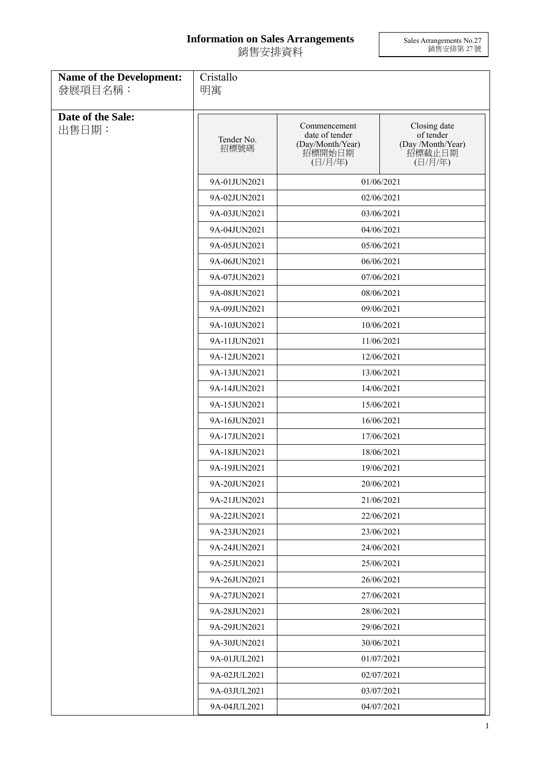## **Information on Sales Arrangements** 銷售安排資料

Sales Arrangements No.27 銷售安排第 27 號

| <b>Name of the Development:</b><br>發展項目名稱: | Cristallo<br>明寓    |                                                                         |                                                                     |
|--------------------------------------------|--------------------|-------------------------------------------------------------------------|---------------------------------------------------------------------|
| Date of the Sale:<br>出售日期:                 | Tender No.<br>招標號碼 | Commencement<br>date of tender<br>(Day/Month/Year)<br>招標開始日期<br>(日/月/年) | Closing date<br>of tender<br>(Day /Month/Year)<br>招標截止日期<br>(日/月/年) |
|                                            | 9A-01JUN2021       | 01/06/2021                                                              |                                                                     |
|                                            | 9A-02JUN2021       | 02/06/2021                                                              |                                                                     |
|                                            | 9A-03JUN2021       | 03/06/2021                                                              |                                                                     |
|                                            | 9A-04JUN2021       | 04/06/2021                                                              |                                                                     |
|                                            | 9A-05JUN2021       | 05/06/2021                                                              |                                                                     |
|                                            | 9A-06JUN2021       |                                                                         | 06/06/2021                                                          |
|                                            | 9A-07JUN2021       |                                                                         | 07/06/2021                                                          |
|                                            | 9A-08JUN2021       |                                                                         | 08/06/2021                                                          |
|                                            | 9A-09JUN2021       |                                                                         | 09/06/2021                                                          |
|                                            | 9A-10JUN2021       |                                                                         | 10/06/2021                                                          |
|                                            | 9A-11JUN2021       | 11/06/2021                                                              |                                                                     |
|                                            | 9A-12JUN2021       | 12/06/2021                                                              |                                                                     |
|                                            | 9A-13JUN2021       | 13/06/2021                                                              |                                                                     |
|                                            | 9A-14JUN2021       |                                                                         | 14/06/2021                                                          |
|                                            | 9A-15JUN2021       |                                                                         | 15/06/2021                                                          |
|                                            | 9A-16JUN2021       |                                                                         | 16/06/2021                                                          |
|                                            | 9A-17JUN2021       |                                                                         | 17/06/2021                                                          |
|                                            | 9A-18JUN2021       |                                                                         | 18/06/2021                                                          |
|                                            | 9A-19JUN2021       |                                                                         | 19/06/2021                                                          |
|                                            | 9A-20JUN2021       | 20/06/2021                                                              |                                                                     |
|                                            | 9A-21JUN2021       |                                                                         | 21/06/2021                                                          |
|                                            | 9A-22JUN2021       |                                                                         | 22/06/2021                                                          |
|                                            | 9A-23JUN2021       |                                                                         | 23/06/2021                                                          |
|                                            | 9A-24JUN2021       |                                                                         | 24/06/2021                                                          |
|                                            | 9A-25JUN2021       |                                                                         | 25/06/2021                                                          |
|                                            | 9A-26JUN2021       |                                                                         | 26/06/2021                                                          |
|                                            | 9A-27JUN2021       |                                                                         | 27/06/2021                                                          |
|                                            | 9A-28JUN2021       |                                                                         | 28/06/2021                                                          |
|                                            | 9A-29JUN2021       |                                                                         | 29/06/2021                                                          |
|                                            | 9A-30JUN2021       |                                                                         | 30/06/2021                                                          |
|                                            | 9A-01JUL2021       |                                                                         | 01/07/2021                                                          |
|                                            | 9A-02JUL2021       |                                                                         | 02/07/2021                                                          |
|                                            | 9A-03JUL2021       |                                                                         | 03/07/2021                                                          |
|                                            | 9A-04JUL2021       | 04/07/2021                                                              |                                                                     |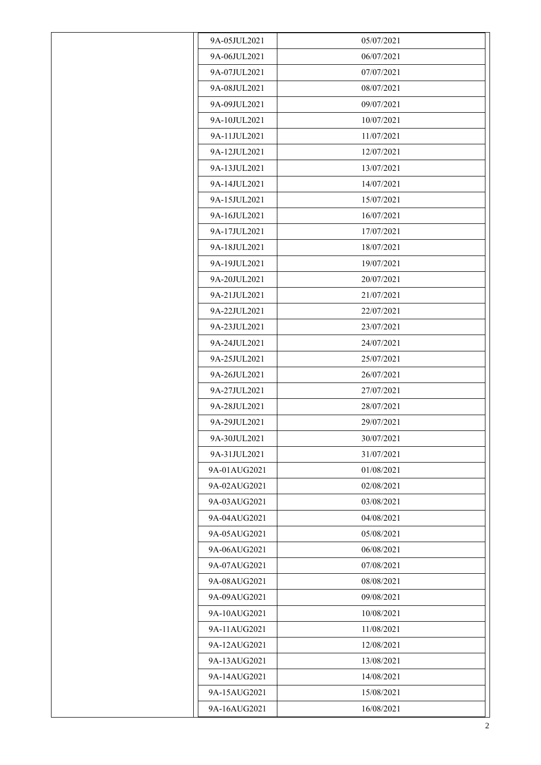| 9A-05JUL2021 | 05/07/2021 |
|--------------|------------|
| 9A-06JUL2021 | 06/07/2021 |
| 9A-07JUL2021 | 07/07/2021 |
| 9A-08JUL2021 | 08/07/2021 |
| 9A-09JUL2021 | 09/07/2021 |
| 9A-10JUL2021 | 10/07/2021 |
| 9A-11JUL2021 | 11/07/2021 |
| 9A-12JUL2021 | 12/07/2021 |
| 9A-13JUL2021 | 13/07/2021 |
| 9A-14JUL2021 | 14/07/2021 |
| 9A-15JUL2021 | 15/07/2021 |
| 9A-16JUL2021 | 16/07/2021 |
| 9A-17JUL2021 | 17/07/2021 |
| 9A-18JUL2021 | 18/07/2021 |
| 9A-19JUL2021 | 19/07/2021 |
| 9A-20JUL2021 | 20/07/2021 |
| 9A-21JUL2021 | 21/07/2021 |
| 9A-22JUL2021 | 22/07/2021 |
| 9A-23JUL2021 | 23/07/2021 |
| 9A-24JUL2021 | 24/07/2021 |
| 9A-25JUL2021 | 25/07/2021 |
| 9A-26JUL2021 | 26/07/2021 |
| 9A-27JUL2021 | 27/07/2021 |
| 9A-28JUL2021 | 28/07/2021 |
| 9A-29JUL2021 | 29/07/2021 |
| 9A-30JUL2021 | 30/07/2021 |
| 9A-31JUL2021 | 31/07/2021 |
| 9A-01AUG2021 | 01/08/2021 |
| 9A-02AUG2021 | 02/08/2021 |
| 9A-03AUG2021 | 03/08/2021 |
| 9A-04AUG2021 | 04/08/2021 |
| 9A-05AUG2021 | 05/08/2021 |
| 9A-06AUG2021 | 06/08/2021 |
| 9A-07AUG2021 | 07/08/2021 |
| 9A-08AUG2021 | 08/08/2021 |
| 9A-09AUG2021 | 09/08/2021 |
| 9A-10AUG2021 | 10/08/2021 |
| 9A-11AUG2021 | 11/08/2021 |
| 9A-12AUG2021 | 12/08/2021 |
| 9A-13AUG2021 | 13/08/2021 |
| 9A-14AUG2021 | 14/08/2021 |
| 9A-15AUG2021 | 15/08/2021 |
| 9A-16AUG2021 | 16/08/2021 |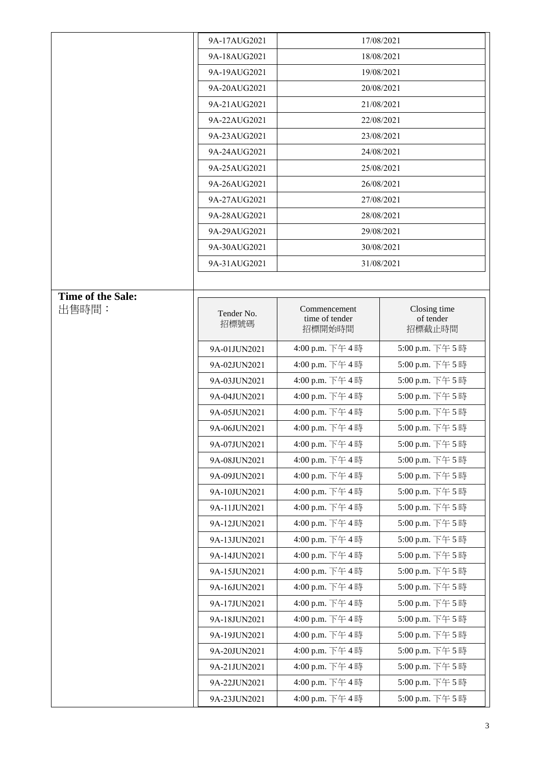|                   | 9A-17AUG2021 |                          | 17/08/2021          |
|-------------------|--------------|--------------------------|---------------------|
|                   | 9A-18AUG2021 | 18/08/2021               |                     |
|                   | 9A-19AUG2021 | 19/08/2021               |                     |
|                   | 9A-20AUG2021 | 20/08/2021               |                     |
|                   | 9A-21AUG2021 | 21/08/2021               |                     |
|                   | 9A-22AUG2021 |                          | 22/08/2021          |
|                   | 9A-23AUG2021 |                          | 23/08/2021          |
|                   | 9A-24AUG2021 |                          | 24/08/2021          |
|                   | 9A-25AUG2021 | 25/08/2021               |                     |
|                   | 9A-26AUG2021 | 26/08/2021               |                     |
|                   | 9A-27AUG2021 | 27/08/2021               |                     |
|                   | 9A-28AUG2021 |                          | 28/08/2021          |
|                   | 9A-29AUG2021 |                          | 29/08/2021          |
|                   | 9A-30AUG2021 |                          | 30/08/2021          |
|                   | 9A-31AUG2021 |                          | 31/08/2021          |
|                   |              |                          |                     |
| Time of the Sale: |              |                          |                     |
| 出售時間:             | Tender No.   | Commencement             | Closing time        |
|                   | 招標號碼         | time of tender<br>招標開始時間 | of tender<br>招標截止時間 |
|                   |              |                          |                     |
|                   | 9A-01JUN2021 | 4:00 p.m. 下午4時           | 5:00 p.m. 下午5時      |
|                   | 9A-02JUN2021 | 4:00 p.m. 下午4時           | 5:00 p.m. 下午5時      |
|                   | 9A-03JUN2021 | 4:00 p.m. 下午4時           | 5:00 p.m. 下午5時      |
|                   | 9A-04JUN2021 | 4:00 p.m. 下午4時           | 5:00 p.m. 下午5時      |
|                   | 9A-05JUN2021 | 4:00 p.m. 下午4時           | 5:00 p.m. 下午5時      |
|                   | 9A-06JUN2021 | 4:00 p.m. 下午4時           | 5:00 p.m. 下午5時      |
|                   | 9A-07JUN2021 | 4:00 p.m. 下午4時           | 5:00 p.m. 下午5時      |
|                   | 9A-08JUN2021 | 4:00 p.m. 下午4時           | 5:00 p.m. 下午5時      |
|                   | 9A-09JUN2021 | 4:00 p.m. 下午4時           | 5:00 p.m. 下午5時      |
|                   | 9A-10JUN2021 | 4:00 p.m. 下午4時           | 5:00 p.m. 下午5時      |
|                   | 9A-11JUN2021 | 4:00 p.m. 下午4時           | 5:00 p.m. 下午5時      |
|                   | 9A-12JUN2021 | 4:00 p.m. 下午4時           | 5:00 p.m. 下午5時      |
|                   | 9A-13JUN2021 | 4:00 p.m. 下午4時           | 5:00 p.m. 下午5時      |
|                   | 9A-14JUN2021 | 4:00 p.m. 下午4時           | 5:00 p.m. 下午5時      |
|                   | 9A-15JUN2021 | 4:00 p.m. 下午4時           | 5:00 p.m. 下午5時      |
|                   | 9A-16JUN2021 | 4:00 p.m. 下午4時           | 5:00 p.m. 下午5時      |
|                   | 9A-17JUN2021 | 4:00 p.m. 下午4時           | 5:00 p.m. 下午5時      |
|                   | 9A-18JUN2021 | 4:00 p.m. 下午4時           | 5:00 p.m. 下午5時      |
|                   | 9A-19JUN2021 | 4:00 p.m. 下午4時           | 5:00 p.m. 下午5時      |
|                   | 9A-20JUN2021 | 4:00 p.m. 下午4時           | 5:00 p.m. 下午5時      |
|                   | 9A-21JUN2021 | 4:00 p.m. 下午4時           | 5:00 p.m. 下午5時      |
|                   | 9A-22JUN2021 | 4:00 p.m. 下午4時           | 5:00 p.m. 下午5時      |
|                   | 9A-23JUN2021 | 4:00 p.m. 下午4時           | 5:00 p.m. 下午5時      |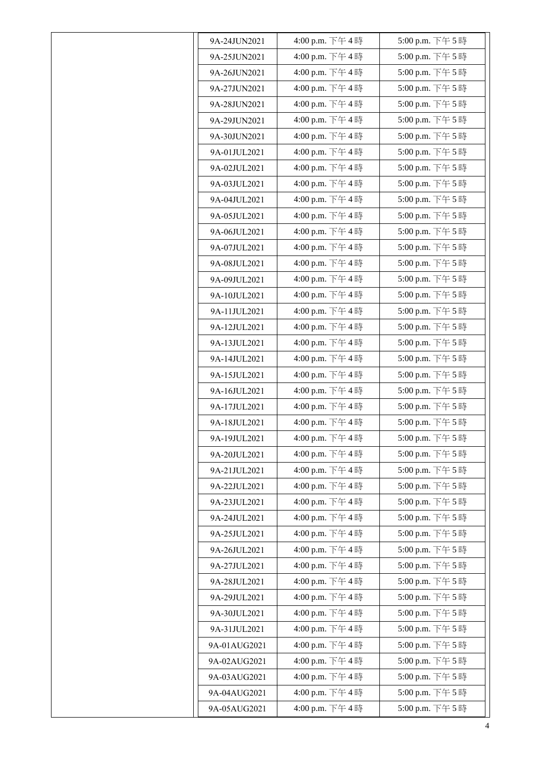|              | 4:00 p.m. 下午4時 | 5:00 p.m. 下午5時   |
|--------------|----------------|------------------|
| 9A-24JUN2021 |                |                  |
| 9A-25JUN2021 | 4:00 p.m. 下午4時 | 5:00 p.m. 下午5時   |
| 9A-26JUN2021 | 4:00 p.m. 下午4時 | 5:00 p.m. 下午5時   |
| 9A-27JUN2021 | 4:00 p.m. 下午4時 | 5:00 p.m. 下午5時   |
| 9A-28JUN2021 | 4:00 p.m. 下午4時 | 5:00 p.m. 下午5時   |
| 9A-29JUN2021 | 4:00 p.m. 下午4時 | 5:00 p.m. 下午5時   |
| 9A-30JUN2021 | 4:00 p.m. 下午4時 | 5:00 p.m. 下午5時   |
| 9A-01JUL2021 | 4:00 p.m. 下午4時 | 5:00 p.m. 下午5時   |
| 9A-02JUL2021 | 4:00 p.m. 下午4時 | 5:00 p.m. 下午5時   |
| 9A-03JUL2021 | 4:00 p.m. 下午4時 | 5:00 p.m. 下午5時   |
| 9A-04JUL2021 | 4:00 p.m. 下午4時 | 5:00 p.m. 下午5時   |
| 9A-05JUL2021 | 4:00 p.m. 下午4時 | 5:00 p.m. 下午5時   |
| 9A-06JUL2021 | 4:00 p.m. 下午4時 | 5:00 p.m. 下午5時   |
| 9A-07JUL2021 | 4:00 p.m. 下午4時 | 5:00 p.m. 下午5時   |
| 9A-08JUL2021 | 4:00 p.m. 下午4時 | 5:00 p.m. 下午5時   |
| 9A-09JUL2021 | 4:00 p.m. 下午4時 | 5:00 p.m. 下午5時   |
| 9A-10JUL2021 | 4:00 p.m. 下午4時 | 5:00 p.m. 下午5時   |
| 9A-11JUL2021 | 4:00 p.m. 下午4時 | 5:00 p.m. 下午5時   |
| 9A-12JUL2021 | 4:00 p.m. 下午4時 | 5:00 p.m. 下午5時   |
| 9A-13JUL2021 | 4:00 p.m. 下午4時 | 5:00 p.m. 下午5時   |
| 9A-14JUL2021 | 4:00 p.m. 下午4時 | 5:00 p.m. 下午5時   |
| 9A-15JUL2021 | 4:00 p.m. 下午4時 | 5:00 p.m. 下午5時   |
| 9A-16JUL2021 | 4:00 p.m. 下午4時 | 5:00 p.m. 下午5時   |
| 9A-17JUL2021 | 4:00 p.m. 下午4時 | 5:00 p.m. 下午5時   |
| 9A-18JUL2021 | 4:00 p.m. 下午4時 | 5:00 p.m. 下午5時   |
| 9A-19JUL2021 | 4:00 p.m. 下午4時 | 5:00 p.m. 下午 5 時 |
| 9A-20JUL2021 | 4:00 p.m. 下午4時 | 5:00 p.m. 下午5時   |
| 9A-21JUL2021 | 4:00 p.m. 下午4時 | 5:00 p.m. 下午5時   |
| 9A-22JUL2021 | 4:00 p.m. 下午4時 | 5:00 p.m. 下午5時   |
| 9A-23JUL2021 | 4:00 p.m. 下午4時 | 5:00 p.m. 下午5時   |
| 9A-24JUL2021 | 4:00 p.m. 下午4時 | 5:00 p.m. 下午5時   |
| 9A-25JUL2021 | 4:00 p.m. 下午4時 | 5:00 p.m. 下午5時   |
| 9A-26JUL2021 | 4:00 p.m. 下午4時 | 5:00 p.m. 下午5時   |
| 9A-27JUL2021 | 4:00 p.m. 下午4時 | 5:00 p.m. 下午5時   |
| 9A-28JUL2021 | 4:00 p.m. 下午4時 | 5:00 p.m. 下午5時   |
| 9A-29JUL2021 | 4:00 p.m. 下午4時 | 5:00 p.m. 下午5時   |
| 9A-30JUL2021 | 4:00 p.m. 下午4時 | 5:00 p.m. 下午5時   |
| 9A-31JUL2021 | 4:00 p.m. 下午4時 | 5:00 p.m. 下午5時   |
| 9A-01AUG2021 | 4:00 p.m. 下午4時 | 5:00 p.m. 下午5時   |
| 9A-02AUG2021 | 4:00 p.m. 下午4時 | 5:00 p.m. 下午5時   |
| 9A-03AUG2021 | 4:00 p.m. 下午4時 | 5:00 p.m. 下午5時   |
| 9A-04AUG2021 | 4:00 p.m. 下午4時 | 5:00 p.m. 下午5時   |
| 9A-05AUG2021 | 4:00 p.m. 下午4時 | 5:00 p.m. 下午5時   |
|              |                |                  |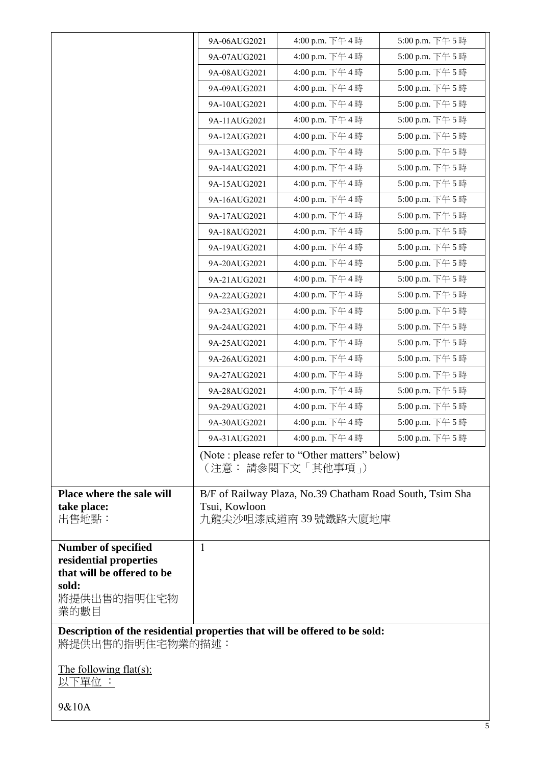|                                                                                                | 9A-06AUG2021  | 4:00 p.m. 下午4時                                                                   | 5:00 p.m. 下午5時 |
|------------------------------------------------------------------------------------------------|---------------|----------------------------------------------------------------------------------|----------------|
|                                                                                                | 9A-07AUG2021  | 4:00 p.m. 下午4時                                                                   | 5:00 p.m. 下午5時 |
|                                                                                                | 9A-08AUG2021  | 4:00 p.m. 下午4時                                                                   | 5:00 p.m. 下午5時 |
|                                                                                                | 9A-09AUG2021  | 4:00 p.m. 下午4時                                                                   | 5:00 p.m. 下午5時 |
|                                                                                                | 9A-10AUG2021  | 4:00 p.m. 下午4時                                                                   | 5:00 p.m. 下午5時 |
|                                                                                                | 9A-11AUG2021  | 4:00 p.m. 下午4時                                                                   | 5:00 p.m. 下午5時 |
|                                                                                                | 9A-12AUG2021  | 4:00 p.m. 下午4時                                                                   | 5:00 p.m. 下午5時 |
|                                                                                                | 9A-13AUG2021  | 4:00 p.m. 下午4時                                                                   | 5:00 p.m. 下午5時 |
|                                                                                                | 9A-14AUG2021  | 4:00 p.m. 下午4時                                                                   | 5:00 p.m. 下午5時 |
|                                                                                                | 9A-15AUG2021  | 4:00 p.m. 下午4時                                                                   | 5:00 p.m. 下午5時 |
|                                                                                                | 9A-16AUG2021  | 4:00 p.m. 下午4時                                                                   | 5:00 p.m. 下午5時 |
|                                                                                                | 9A-17AUG2021  | 4:00 p.m. 下午4時                                                                   | 5:00 p.m. 下午5時 |
|                                                                                                | 9A-18AUG2021  | 4:00 p.m. 下午4時                                                                   | 5:00 p.m. 下午5時 |
|                                                                                                | 9A-19AUG2021  | 4:00 p.m. 下午4時                                                                   | 5:00 p.m. 下午5時 |
|                                                                                                | 9A-20AUG2021  | 4:00 p.m. 下午4時                                                                   | 5:00 p.m. 下午5時 |
|                                                                                                | 9A-21AUG2021  | 4:00 p.m. 下午4時                                                                   | 5:00 p.m. 下午5時 |
|                                                                                                | 9A-22AUG2021  | 4:00 p.m. 下午4時                                                                   | 5:00 p.m. 下午5時 |
|                                                                                                | 9A-23AUG2021  | 4:00 p.m. 下午4時                                                                   | 5:00 p.m. 下午5時 |
|                                                                                                | 9A-24AUG2021  | 4:00 p.m. 下午4時                                                                   | 5:00 p.m. 下午5時 |
|                                                                                                | 9A-25AUG2021  | 4:00 p.m. 下午4時                                                                   | 5:00 p.m. 下午5時 |
|                                                                                                | 9A-26AUG2021  | 4:00 p.m. 下午4時                                                                   | 5:00 p.m. 下午5時 |
|                                                                                                | 9A-27AUG2021  | 4:00 p.m. 下午4時                                                                   | 5:00 p.m. 下午5時 |
|                                                                                                | 9A-28AUG2021  | 4:00 p.m. 下午4時                                                                   | 5:00 p.m. 下午5時 |
|                                                                                                | 9A-29AUG2021  | 4:00 p.m. 下午4時                                                                   | 5:00 p.m. 下午5時 |
|                                                                                                | 9A-30AUG2021  | 4:00 p.m. 下午4時                                                                   | 5:00 p.m. 下午5時 |
|                                                                                                | 9A-31AUG2021  | 4:00 p.m. 下午4時                                                                   | 5:00 p.m. 下午5時 |
|                                                                                                |               | (Note : please refer to "Other matters" below)<br>(注意: 請參閱下文 「其他事項」)             |                |
| Place where the sale will<br>take place:<br>出售地點:                                              | Tsui, Kowloon | B/F of Railway Plaza, No.39 Chatham Road South, Tsim Sha<br>九龍尖沙咀漆咸道南 39 號鐵路大廈地庫 |                |
| <b>Number of specified</b><br>residential properties<br>that will be offered to be<br>sold:    | $\mathbf{1}$  |                                                                                  |                |
| 將提供出售的指明住宅物<br>業的數目                                                                            |               |                                                                                  |                |
| Description of the residential properties that will be offered to be sold:<br>將提供出售的指明住宅物業的描述: |               |                                                                                  |                |
| <u>The following flat(s):</u><br>以下單位:                                                         |               |                                                                                  |                |
| 9&10A                                                                                          |               |                                                                                  |                |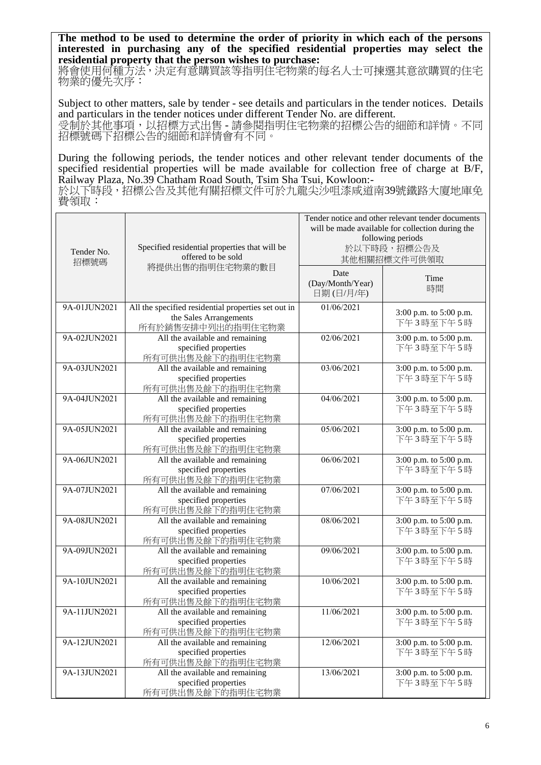**The method to be used to determine the order of priority in which each of the persons interested in purchasing any of the specified residential properties may select the residential property that the person wishes to purchase:** 

將會使用何種方法,決定有意購買該等指明住宅物業的每名人士可揀選其意欲購買的住宅 物業的優先次序:

Subject to other matters, sale by tender - see details and particulars in the tender notices. Details and particulars in the tender notices under different Tender No. are different. 受制於其他事項,以招標方式出售 - 請參閱指明住宅物業的招標公告的細節和詳情。不同 招標號碼下招標公告的細節和詳情會有不同。

During the following periods, the tender notices and other relevant tender documents of the specified residential properties will be made available for collection free of charge at B/F, Railway Plaza, No.39 Chatham Road South, Tsim Sha Tsui, Kowloon:-

於以下時段,招標公告及其他有關招標文件可於九龍尖沙咀漆咸道南39號鐵路大廈地庫免 費領取:

| Specified residential properties that will be<br>Tender No.<br>offered to be sold<br>招標號碼 |                                                                                                    | Tender notice and other relevant tender documents<br>will be made available for collection during the<br>following periods<br>於以下時段,招標公告及<br>其他相關招標文件可供領取 |                                     |
|-------------------------------------------------------------------------------------------|----------------------------------------------------------------------------------------------------|-----------------------------------------------------------------------------------------------------------------------------------------------------------|-------------------------------------|
|                                                                                           | 將提供出售的指明住宅物業的數目                                                                                    | Date<br>(Day/Month/Year)<br>日期(日/月/年)                                                                                                                     | Time<br>時間                          |
| 9A-01JUN2021                                                                              | All the specified residential properties set out in<br>the Sales Arrangements<br>所有於銷售安排中列出的指明住宅物業 | 01/06/2021                                                                                                                                                | 3:00 p.m. to 5:00 p.m.<br>下午3時至下午5時 |
| 9A-02JUN2021                                                                              | All the available and remaining<br>specified properties<br>所有可供出售及餘下的指明住宅物業                        | 02/06/2021                                                                                                                                                | 3:00 p.m. to 5:00 p.m.<br>下午3時至下午5時 |
| 9A-03JUN2021                                                                              | All the available and remaining<br>specified properties<br>所有可供出售及餘下的指明住宅物業                        | 03/06/2021                                                                                                                                                | 3:00 p.m. to 5:00 p.m.<br>下午3時至下午5時 |
| 9A-04JUN2021                                                                              | All the available and remaining<br>specified properties<br>所有可供出售及餘下的指明住宅物業                        | 04/06/2021                                                                                                                                                | 3:00 p.m. to 5:00 p.m.<br>下午3時至下午5時 |
| 9A-05JUN2021                                                                              | All the available and remaining<br>specified properties<br>所有可供出售及餘下的指明住宅物業                        | 05/06/2021                                                                                                                                                | 3:00 p.m. to 5:00 p.m.<br>下午3時至下午5時 |
| 9A-06JUN2021                                                                              | All the available and remaining<br>specified properties<br>所有可供出售及餘下的指明住宅物業                        | 06/06/2021                                                                                                                                                | 3:00 p.m. to 5:00 p.m.<br>下午3時至下午5時 |
| 9A-07JUN2021                                                                              | All the available and remaining<br>specified properties<br>所有可供出售及餘下的指明住宅物業                        | 07/06/2021                                                                                                                                                | 3:00 p.m. to 5:00 p.m.<br>下午3時至下午5時 |
| 9A-08JUN2021                                                                              | All the available and remaining<br>specified properties<br>所有可供出售及餘下的指明住宅物業                        | 08/06/2021                                                                                                                                                | 3:00 p.m. to 5:00 p.m.<br>下午3時至下午5時 |
| 9A-09JUN2021                                                                              | All the available and remaining<br>specified properties<br>所有可供出售及餘下的指明住宅物業                        | 09/06/2021                                                                                                                                                | 3:00 p.m. to 5:00 p.m.<br>下午3時至下午5時 |
| 9A-10JUN2021                                                                              | All the available and remaining<br>specified properties<br>所有可供出售及餘下的指明住宅物業                        | 10/06/2021                                                                                                                                                | 3:00 p.m. to 5:00 p.m.<br>下午3時至下午5時 |
| 9A-11JUN2021                                                                              | All the available and remaining<br>specified properties<br>所有可供出售及餘下的指明住宅物業                        | 11/06/2021                                                                                                                                                | 3:00 p.m. to 5:00 p.m.<br>下午3時至下午5時 |
| 9A-12JUN2021                                                                              | All the available and remaining<br>specified properties<br>所有可供出售及餘下的指明住宅物業                        | 12/06/2021                                                                                                                                                | 3:00 p.m. to 5:00 p.m.<br>下午3時至下午5時 |
| 9A-13JUN2021                                                                              | All the available and remaining<br>specified properties<br>所有可供出售及餘下的指明住宅物業                        | 13/06/2021                                                                                                                                                | 3:00 p.m. to 5:00 p.m.<br>下午3時至下午5時 |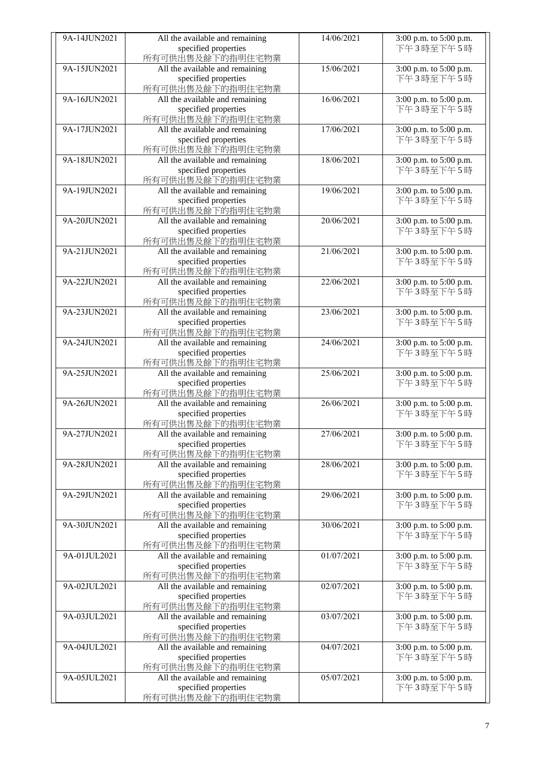| 9A-14JUN2021 | All the available and remaining          | 14/06/2021 | 3:00 p.m. to 5:00 p.m. |
|--------------|------------------------------------------|------------|------------------------|
|              | specified properties                     |            | 下午3時至下午5時              |
|              | 所有可供出售及餘下的指明住宅物業                         |            |                        |
|              |                                          |            |                        |
| 9A-15JUN2021 | All the available and remaining          | 15/06/2021 | 3:00 p.m. to 5:00 p.m. |
|              | specified properties                     |            | 下午3時至下午5時              |
|              | 所有可供出售及餘下的指明住宅物業                         |            |                        |
|              |                                          |            |                        |
| 9A-16JUN2021 | All the available and remaining          | 16/06/2021 | 3:00 p.m. to 5:00 p.m. |
|              | specified properties                     |            | 下午3時至下午5時              |
|              | 所有可供出售及餘下的指明住宅物業                         |            |                        |
|              |                                          |            |                        |
| 9A-17JUN2021 | All the available and remaining          | 17/06/2021 | 3:00 p.m. to 5:00 p.m. |
|              | specified properties                     |            | 下午3時至下午5時              |
|              | 所有可供出售及餘下的指明住宅物業                         |            |                        |
| 9A-18JUN2021 |                                          | 18/06/2021 | 3:00 p.m. to 5:00 p.m. |
|              | All the available and remaining          |            |                        |
|              | specified properties                     |            | 下午3時至下午5時              |
|              | 所有可供出售及餘下的指明住宅物業                         |            |                        |
| 9A-19JUN2021 |                                          | 19/06/2021 |                        |
|              | All the available and remaining          |            | 3:00 p.m. to 5:00 p.m. |
|              | specified properties                     |            | 下午3時至下午5時              |
|              | 所有可供出售及餘下的指明住宅物業                         |            |                        |
| 9A-20JUN2021 |                                          | 20/06/2021 |                        |
|              | All the available and remaining          |            | 3:00 p.m. to 5:00 p.m. |
|              | specified properties                     |            | 下午3時至下午5時              |
|              | 所有可供出售及餘下的指明住宅物業                         |            |                        |
| 9A-21JUN2021 |                                          | 21/06/2021 |                        |
|              | All the available and remaining          |            | 3:00 p.m. to 5:00 p.m. |
|              | specified properties                     |            | 下午3時至下午5時              |
|              | 所有可供出售及餘下的指明住宅物業                         |            |                        |
| 9A-22JUN2021 | All the available and remaining          | 22/06/2021 | 3:00 p.m. to 5:00 p.m. |
|              |                                          |            |                        |
|              | specified properties                     |            | 下午3時至下午5時              |
|              | 所有可供出售及餘下的指明住宅物業                         |            |                        |
| 9A-23JUN2021 | All the available and remaining          | 23/06/2021 | 3:00 p.m. to 5:00 p.m. |
|              |                                          |            |                        |
|              | specified properties                     |            | 下午3時至下午5時              |
|              | 所有可供出售及餘下的指明住宅物業                         |            |                        |
| 9A-24JUN2021 | All the available and remaining          | 24/06/2021 | 3:00 p.m. to 5:00 p.m. |
|              |                                          |            |                        |
|              | specified properties                     |            | 下午3時至下午5時              |
|              | 所有可供出售及餘下的指明住宅物業                         |            |                        |
| 9A-25JUN2021 | All the available and remaining          | 25/06/2021 | 3:00 p.m. to 5:00 p.m. |
|              |                                          |            |                        |
|              | specified properties                     |            | 下午3時至下午5時              |
|              | 所有可供出售及餘下的指明住宅物業                         |            |                        |
| 9A-26JUN2021 | All the available and remaining          | 26/06/2021 | 3:00 p.m. to 5:00 p.m. |
|              | specified properties                     |            | 下午3時至下午5時              |
|              |                                          |            |                        |
|              | 所有可供出售及餘下的指明住宅物業                         |            |                        |
| 9A-27JUN2021 | All the available and remaining          | 27/06/2021 | 3:00 p.m. to 5:00 p.m. |
|              | specified properties                     |            | 下午3時至下午5時              |
|              |                                          |            |                        |
|              | 所有可供出售及餘下的指明住宅物業                         |            |                        |
| 9A-28JUN2021 | All the available and remaining          | 28/06/2021 | 3:00 p.m. to 5:00 p.m. |
|              | specified properties                     |            | 下午3時至下午5時              |
|              |                                          |            |                        |
|              | 所有可供出售及餘下的指明住宅物業                         |            |                        |
| 9A-29JUN2021 |                                          |            |                        |
|              | All the available and remaining          | 29/06/2021 | 3:00 p.m. to 5:00 p.m. |
|              |                                          |            |                        |
|              | specified properties                     |            | 下午3時至下午5時              |
|              | 所有可供出售及餘下的指明住宅物業                         |            |                        |
| 9A-30JUN2021 | All the available and remaining          | 30/06/2021 | 3:00 p.m. to 5:00 p.m. |
|              | specified properties                     |            | 下午3時至下午5時              |
|              |                                          |            |                        |
|              | 所有可供出售及餘下的指明住宅物業                         |            |                        |
| 9A-01JUL2021 | All the available and remaining          | 01/07/2021 | 3:00 p.m. to 5:00 p.m. |
|              | specified properties                     |            | 下午3時至下午5時              |
|              |                                          |            |                        |
|              | 所有可供出售及餘下的指明住宅物業                         |            |                        |
| 9A-02JUL2021 | All the available and remaining          | 02/07/2021 | 3:00 p.m. to 5:00 p.m. |
|              | specified properties                     |            | 下午3時至下午5時              |
|              |                                          |            |                        |
|              | 所有可供出售及餘下的指明住宅物業                         |            |                        |
| 9A-03JUL2021 | All the available and remaining          | 03/07/2021 | 3:00 p.m. to 5:00 p.m. |
|              | specified properties                     |            | 下午3時至下午5時              |
|              | 所有可供出售及餘下的指明住宅物業                         |            |                        |
|              |                                          |            |                        |
| 9A-04JUL2021 | All the available and remaining          | 04/07/2021 | 3:00 p.m. to 5:00 p.m. |
|              | specified properties                     |            | 下午3時至下午5時              |
|              | 所有可供出售及餘下的指明住宅物業                         |            |                        |
| 9A-05JUL2021 |                                          | 05/07/2021 |                        |
|              | All the available and remaining          |            | 3:00 p.m. to 5:00 p.m. |
|              | specified properties<br>所有可供出售及餘下的指明住宅物業 |            | 下午3時至下午5時              |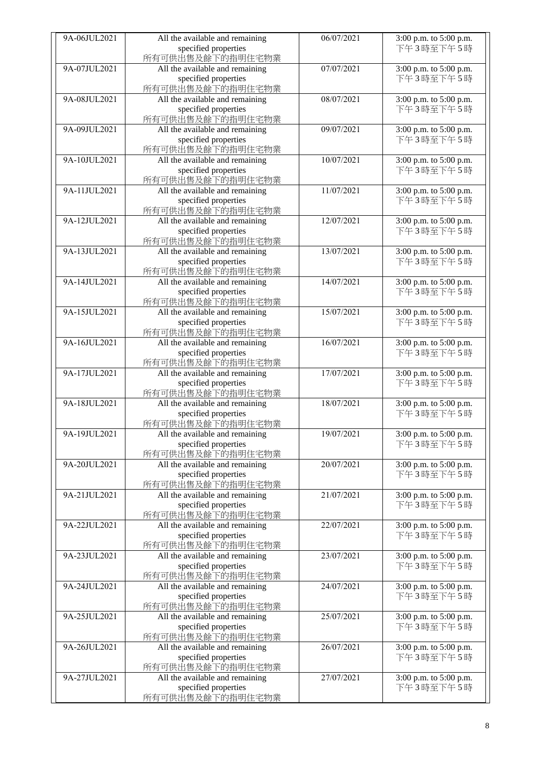| 9A-06JUL2021 | All the available and remaining | 06/07/2021 | 3:00 p.m. to 5:00 p.m.              |
|--------------|---------------------------------|------------|-------------------------------------|
|              | specified properties            |            | 下午3時至下午5時                           |
|              | 所有可供出售及餘下的指明住宅物業                |            |                                     |
| 9A-07JUL2021 | All the available and remaining | 07/07/2021 | 3:00 p.m. to 5:00 p.m.              |
|              | specified properties            |            | 下午3時至下午5時                           |
|              | 所有可供出售及餘下的指明住宅物業                |            |                                     |
| 9A-08JUL2021 | All the available and remaining | 08/07/2021 | 3:00 p.m. to 5:00 p.m.              |
|              | specified properties            |            | 下午3時至下午5時                           |
|              | 所有可供出售及餘下的指明住宅物業                |            |                                     |
| 9A-09JUL2021 | All the available and remaining | 09/07/2021 | 3:00 p.m. to 5:00 p.m.              |
|              | specified properties            |            | 下午3時至下午5時                           |
|              | 所有可供出售及餘下的指明住宅物業                |            |                                     |
| 9A-10JUL2021 | All the available and remaining | 10/07/2021 | 3:00 p.m. to 5:00 p.m.              |
|              |                                 |            |                                     |
|              | specified properties            |            | 下午3時至下午5時                           |
|              | 所有可供出售及餘下的指明住宅物業                |            |                                     |
| 9A-11JUL2021 | All the available and remaining | 11/07/2021 | 3:00 p.m. to 5:00 p.m.              |
|              | specified properties            |            | 下午3時至下午5時                           |
|              | 所有可供出售及餘下的指明住宅物業                |            |                                     |
| 9A-12JUL2021 | All the available and remaining | 12/07/2021 | 3:00 p.m. to 5:00 p.m.              |
|              | specified properties            |            | 下午3時至下午5時                           |
|              | 所有可供出售及餘下的指明住宅物業                |            |                                     |
| 9A-13JUL2021 | All the available and remaining | 13/07/2021 | 3:00 p.m. to 5:00 p.m.              |
|              | specified properties            |            | 下午3時至下午5時                           |
|              | 所有可供出售及餘下的指明住宅物業                |            |                                     |
| 9A-14JUL2021 | All the available and remaining | 14/07/2021 | 3:00 p.m. to 5:00 p.m.              |
|              | specified properties            |            | 下午3時至下午5時                           |
|              | 所有可供出售及餘下的指明住宅物業                |            |                                     |
| 9A-15JUL2021 | All the available and remaining | 15/07/2021 | 3:00 p.m. to 5:00 p.m.              |
|              | specified properties            |            | 下午3時至下午5時                           |
|              | 所有可供出售及餘下的指明住宅物業                |            |                                     |
| 9A-16JUL2021 | All the available and remaining | 16/07/2021 | 3:00 p.m. to 5:00 p.m.              |
|              | specified properties            |            | 下午3時至下午5時                           |
|              | 所有可供出售及餘下的指明住宅物業                |            |                                     |
| 9A-17JUL2021 | All the available and remaining | 17/07/2021 | 3:00 p.m. to 5:00 p.m.              |
|              | specified properties            |            | 下午3時至下午5時                           |
|              | 所有可供出售及餘下的指明住宅物業                |            |                                     |
| 9A-18JUL2021 | All the available and remaining | 18/07/2021 | 3:00 p.m. to 5:00 p.m.              |
|              | specified properties            |            | 下午3時至下午5時                           |
|              | 所有可供出售及餘下的指明住宅物業                |            |                                     |
| 9A-19JUL2021 | All the available and remaining | 19/07/2021 | 3:00 p.m. to 5:00 p.m.              |
|              | specified properties            |            | 下午3時至下午5時                           |
|              | 所有可供出售及餘下的指明住宅物業                |            |                                     |
| 9A-20JUL2021 | All the available and remaining | 20/07/2021 | 3:00 p.m. to 5:00 p.m.              |
|              | specified properties            |            | 下午3時至下午5時                           |
|              | 所有可供出售及餘下的指明住宅物業                |            |                                     |
| 9A-21JUL2021 |                                 | 21/07/2021 |                                     |
|              | All the available and remaining |            | 3:00 p.m. to 5:00 p.m.<br>下午3時至下午5時 |
|              | specified properties            |            |                                     |
|              | 所有可供出售及餘下的指明住宅物業                |            |                                     |
| 9A-22JUL2021 | All the available and remaining | 22/07/2021 | 3:00 p.m. to 5:00 p.m.              |
|              | specified properties            |            | 下午3時至下午5時                           |
|              | 所有可供出售及餘下的指明住宅物業                |            |                                     |
| 9A-23JUL2021 | All the available and remaining | 23/07/2021 | 3:00 p.m. to 5:00 p.m.              |
|              | specified properties            |            | 下午3時至下午5時                           |
|              | 所有可供出售及餘下的指明住宅物業                |            |                                     |
| 9A-24JUL2021 | All the available and remaining | 24/07/2021 | 3:00 p.m. to 5:00 p.m.              |
|              | specified properties            |            | 下午3時至下午5時                           |
|              | 所有可供出售及餘下的指明住宅物業                |            |                                     |
| 9A-25JUL2021 | All the available and remaining | 25/07/2021 | 3:00 p.m. to 5:00 p.m.              |
|              | specified properties            |            | 下午3時至下午5時                           |
|              | 所有可供出售及餘下的指明住宅物業                |            |                                     |
| 9A-26JUL2021 | All the available and remaining | 26/07/2021 | 3:00 p.m. to 5:00 p.m.              |
|              | specified properties            |            | 下午3時至下午5時                           |
|              | 所有可供出售及餘下的指明住宅物業                |            |                                     |
| 9A-27JUL2021 | All the available and remaining | 27/07/2021 | 3:00 p.m. to 5:00 p.m.              |
|              | specified properties            |            | 下午3時至下午5時                           |
|              | 所有可供出售及餘下的指明住宅物業                |            |                                     |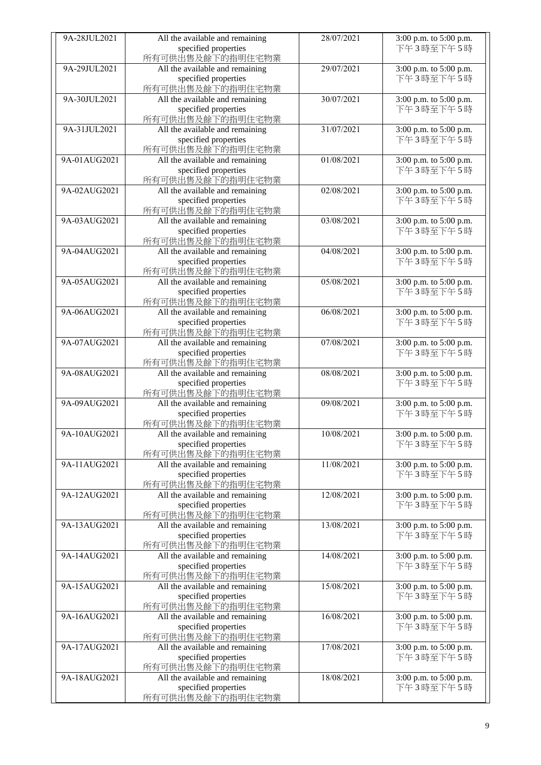| 9A-28JUL2021 | All the available and remaining          | 28/07/2021 | 3:00 p.m. to 5:00 p.m. |
|--------------|------------------------------------------|------------|------------------------|
|              | specified properties                     |            | 下午3時至下午5時              |
|              | 所有可供出售及餘下的指明住宅物業                         |            |                        |
| 9A-29JUL2021 | All the available and remaining          | 29/07/2021 | 3:00 p.m. to 5:00 p.m. |
|              | specified properties                     |            | 下午3時至下午5時              |
|              | 所有可供出售及餘下的指明住宅物業                         |            |                        |
| 9A-30JUL2021 | All the available and remaining          | 30/07/2021 | 3:00 p.m. to 5:00 p.m. |
|              | specified properties                     |            | 下午3時至下午5時              |
|              | 所有可供出售及餘下的指明住宅物業                         |            |                        |
| 9A-31JUL2021 | All the available and remaining          | 31/07/2021 | 3:00 p.m. to 5:00 p.m. |
|              | specified properties                     |            | 下午3時至下午5時              |
|              | 所有可供出售及餘下的指明住宅物業                         |            |                        |
| 9A-01AUG2021 | All the available and remaining          | 01/08/2021 | 3:00 p.m. to 5:00 p.m. |
|              |                                          |            | 下午3時至下午5時              |
|              | specified properties<br>所有可供出售及餘下的指明住宅物業 |            |                        |
|              |                                          |            |                        |
| 9A-02AUG2021 | All the available and remaining          | 02/08/2021 | 3:00 p.m. to 5:00 p.m. |
|              | specified properties                     |            | 下午3時至下午5時              |
|              | 所有可供出售及餘下的指明住宅物業                         |            |                        |
| 9A-03AUG2021 | All the available and remaining          | 03/08/2021 | 3:00 p.m. to 5:00 p.m. |
|              | specified properties                     |            | 下午3時至下午5時              |
|              | 所有可供出售及餘下的指明住宅物業                         |            |                        |
| 9A-04AUG2021 | All the available and remaining          | 04/08/2021 | 3:00 p.m. to 5:00 p.m. |
|              | specified properties                     |            | 下午3時至下午5時              |
|              | 所有可供出售及餘下的指明住宅物業                         |            |                        |
| 9A-05AUG2021 | All the available and remaining          | 05/08/2021 | 3:00 p.m. to 5:00 p.m. |
|              | specified properties                     |            | 下午3時至下午5時              |
|              | 所有可供出售及餘下的指明住宅物業                         |            |                        |
| 9A-06AUG2021 | All the available and remaining          | 06/08/2021 | 3:00 p.m. to 5:00 p.m. |
|              | specified properties                     |            | 下午3時至下午5時              |
|              | 所有可供出售及餘下的指明住宅物業                         |            |                        |
| 9A-07AUG2021 | All the available and remaining          | 07/08/2021 | 3:00 p.m. to 5:00 p.m. |
|              | specified properties                     |            | 下午3時至下午5時              |
|              | 所有可供出售及餘下的指明住宅物業                         |            |                        |
| 9A-08AUG2021 | All the available and remaining          | 08/08/2021 | 3:00 p.m. to 5:00 p.m. |
|              | specified properties                     |            | 下午3時至下午5時              |
|              | 所有可供出售及餘下的指明住宅物業                         |            |                        |
| 9A-09AUG2021 | All the available and remaining          | 09/08/2021 | 3:00 p.m. to 5:00 p.m. |
|              | specified properties                     |            | 下午3時至下午5時              |
|              | 所有可供出售及餘下的指明住宅物業                         |            |                        |
| 9A-10AUG2021 | All the available and remaining          | 10/08/2021 | 3:00 p.m. to 5:00 p.m. |
|              | specified properties                     |            | 下午3時至下午5時              |
|              | 所有可供出售及餘下的指明住宅物業                         |            |                        |
| 9A-11AUG2021 | All the available and remaining          | 11/08/2021 | 3:00 p.m. to 5:00 p.m. |
|              | specified properties                     |            | 下午3時至下午5時              |
|              | 所有可供出售及餘下的指明住宅物業                         |            |                        |
| 9A-12AUG2021 | All the available and remaining          | 12/08/2021 | 3:00 p.m. to 5:00 p.m. |
|              | specified properties                     |            | 下午3時至下午5時              |
|              | 所有可供出售及餘下的指明住宅物業                         |            |                        |
| 9A-13AUG2021 | All the available and remaining          | 13/08/2021 | 3:00 p.m. to 5:00 p.m. |
|              | specified properties                     |            | 下午3時至下午5時              |
|              | 所有可供出售及餘下的指明住宅物業                         |            |                        |
| 9A-14AUG2021 | All the available and remaining          | 14/08/2021 | 3:00 p.m. to 5:00 p.m. |
|              | specified properties                     |            | 下午3時至下午5時              |
|              | 所有可供出售及餘下的指明住宅物業                         |            |                        |
| 9A-15AUG2021 | All the available and remaining          | 15/08/2021 | 3:00 p.m. to 5:00 p.m. |
|              | specified properties                     |            | 下午3時至下午5時              |
|              | 所有可供出售及餘下的指明住宅物業                         |            |                        |
| 9A-16AUG2021 | All the available and remaining          | 16/08/2021 | 3:00 p.m. to 5:00 p.m. |
|              |                                          |            |                        |
|              | specified properties                     |            | 下午3時至下午5時              |
|              | 所有可供出售及餘下的指明住宅物業                         |            |                        |
| 9A-17AUG2021 | All the available and remaining          | 17/08/2021 | 3:00 p.m. to 5:00 p.m. |
|              | specified properties                     |            | 下午3時至下午5時              |
|              | 所有可供出售及餘下的指明住宅物業                         |            |                        |
| 9A-18AUG2021 | All the available and remaining          | 18/08/2021 | 3:00 p.m. to 5:00 p.m. |
|              | specified properties                     |            | 下午3時至下午5時              |
|              | 所有可供出售及餘下的指明住宅物業                         |            |                        |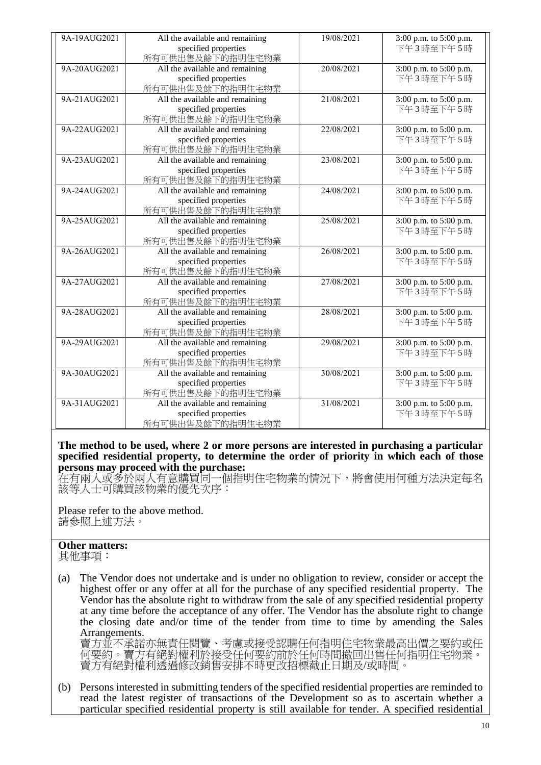| 9A-19AUG2021 | All the available and remaining | 19/08/2021 | 3:00 p.m. to 5:00 p.m. |
|--------------|---------------------------------|------------|------------------------|
|              | specified properties            |            | 下午3時至下午5時              |
|              | 所有可供出售及餘下的指明住宅物業                |            |                        |
| 9A-20AUG2021 | All the available and remaining | 20/08/2021 | 3:00 p.m. to 5:00 p.m. |
|              | specified properties            |            | 下午3時至下午5時              |
|              | 所有可供出售及餘下的指明住宅物業                |            |                        |
| 9A-21AUG2021 | All the available and remaining | 21/08/2021 | 3:00 p.m. to 5:00 p.m. |
|              | specified properties            |            | 下午3時至下午5時              |
|              | 所有可供出售及餘下的指明住宅物業                |            |                        |
| 9A-22AUG2021 | All the available and remaining | 22/08/2021 | 3:00 p.m. to 5:00 p.m. |
|              | specified properties            |            | 下午3時至下午5時              |
|              | 所有可供出售及餘下的指明住宅物業                |            |                        |
| 9A-23AUG2021 | All the available and remaining | 23/08/2021 | 3:00 p.m. to 5:00 p.m. |
|              | specified properties            |            | 下午3時至下午5時              |
|              | 所有可供出售及餘下的指明住宅物業                |            |                        |
| 9A-24AUG2021 | All the available and remaining | 24/08/2021 | 3:00 p.m. to 5:00 p.m. |
|              | specified properties            |            | 下午3時至下午5時              |
|              | 所有可供出售及餘下的指明住宅物業                |            |                        |
| 9A-25AUG2021 | All the available and remaining | 25/08/2021 | 3:00 p.m. to 5:00 p.m. |
|              | specified properties            |            | 下午3時至下午5時              |
|              | 所有可供出售及餘下的指明住宅物業                |            |                        |
| 9A-26AUG2021 | All the available and remaining | 26/08/2021 | 3:00 p.m. to 5:00 p.m. |
|              | specified properties            |            | 下午3時至下午5時              |
|              | 所有可供出售及餘下的指明住宅物業                |            |                        |
| 9A-27AUG2021 | All the available and remaining | 27/08/2021 | 3:00 p.m. to 5:00 p.m. |
|              | specified properties            |            | 下午3時至下午5時              |
|              | 所有可供出售及餘下的指明住宅物業                |            |                        |
| 9A-28AUG2021 | All the available and remaining | 28/08/2021 | 3:00 p.m. to 5:00 p.m. |
|              | specified properties            |            | 下午3時至下午5時              |
|              | 所有可供出售及餘下的指明住宅物業                |            |                        |
| 9A-29AUG2021 | All the available and remaining | 29/08/2021 | 3:00 p.m. to 5:00 p.m. |
|              | specified properties            |            | 下午3時至下午5時              |
|              | 所有可供出售及餘下的指明住宅物業                |            |                        |
| 9A-30AUG2021 | All the available and remaining | 30/08/2021 | 3:00 p.m. to 5:00 p.m. |
|              | specified properties            |            | 下午3時至下午5時              |
|              | 所有可供出售及餘下的指明住宅物業                |            |                        |
| 9A-31AUG2021 | All the available and remaining | 31/08/2021 | 3:00 p.m. to 5:00 p.m. |
|              | specified properties            |            | 下午3時至下午5時              |
|              | 所有可供出售及餘下的指明住宅物業                |            |                        |

**The method to be used, where 2 or more persons are interested in purchasing a particular specified residential property, to determine the order of priority in which each of those persons may proceed with the purchase:**

在有兩人或多於兩人有意購買同一個指明住宅物業的情況下,將會使用何種方法決定每名 該等人士可購買該物業的優先次序:

Please refer to the above method. 請參照上述方法。

## **Other matters:**

其他事項:

(a) The Vendor does not undertake and is under no obligation to review, consider or accept the highest offer or any offer at all for the purchase of any specified residential property. The Vendor has the absolute right to withdraw from the sale of any specified residential property at any time before the acceptance of any offer. The Vendor has the absolute right to change the closing date and/or time of the tender from time to time by amending the Sales Arrangements.

賣方並不承諾亦無責任閱覽、考慮或接受認購任何指明住宅物業最高出價之要約或任 何要約。賣方有絕對權利於接受任何要約前於任何時間撤回出售任何指明住宅物業。 賣方有絕對權利透過修改銷售安排不時更改招標截止日期及/或時間。

(b) Persons interested in submitting tenders of the specified residential properties are reminded to read the latest register of transactions of the Development so as to ascertain whether a particular specified residential property is still available for tender. A specified residential